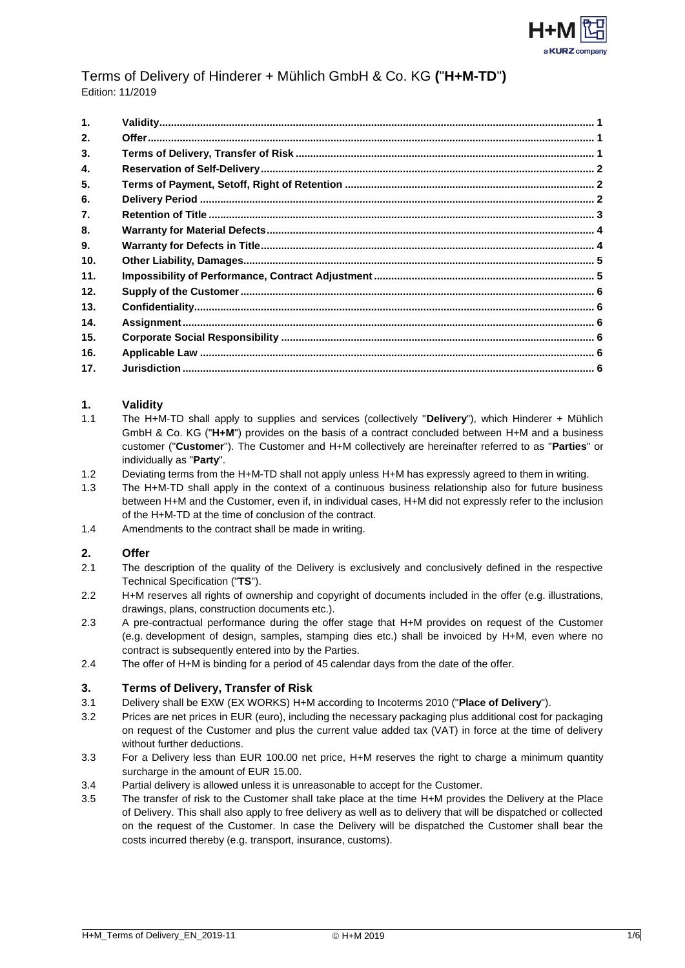

# Terms of Delivery of Hinderer + Mühlich GmbH & Co. KG **(**"**H+M-TD**"**)** Edition: 11/2019

| $\mathbf{1}$ . |  |
|----------------|--|
| 2.             |  |
| 3.             |  |
| 4.             |  |
| 5.             |  |
| 6.             |  |
| 7.             |  |
| 8.             |  |
| 9.             |  |
| 10.            |  |
| 11.            |  |
| 12.            |  |
| 13.            |  |
| 14.            |  |
| 15.            |  |
| 16.            |  |
| 17.            |  |

#### <span id="page-0-0"></span>**1. Validity**

- 1.1 The H+M-TD shall apply to supplies and services (collectively "**Delivery**"), which Hinderer + Mühlich GmbH & Co. KG ("**H+M**") provides on the basis of a contract concluded between H+M and a business customer ("**Customer**"). The Customer and H+M collectively are hereinafter referred to as "**Parties**" or individually as "**Party**".
- 1.2 Deviating terms from the H+M-TD shall not apply unless H+M has expressly agreed to them in writing.
- 1.3 The H+M-TD shall apply in the context of a continuous business relationship also for future business between H+M and the Customer, even if, in individual cases, H+M did not expressly refer to the inclusion of the H+M-TD at the time of conclusion of the contract.
- 1.4 Amendments to the contract shall be made in writing.

## <span id="page-0-1"></span>**2. Offer**

- 2.1 The description of the quality of the Delivery is exclusively and conclusively defined in the respective Technical Specification ("**TS**").
- 2.2 H+M reserves all rights of ownership and copyright of documents included in the offer (e.g. illustrations, drawings, plans, construction documents etc.).
- 2.3 A pre-contractual performance during the offer stage that H+M provides on request of the Customer (e.g. development of design, samples, stamping dies etc.) shall be invoiced by H+M, even where no contract is subsequently entered into by the Parties.
- 2.4 The offer of H+M is binding for a period of 45 calendar days from the date of the offer.

#### <span id="page-0-2"></span>**3. Terms of Delivery, Transfer of Risk**

- 3.1 Delivery shall be EXW (EX WORKS) H+M according to Incoterms 2010 ("**Place of Delivery**").
- 3.2 Prices are net prices in EUR (euro), including the necessary packaging plus additional cost for packaging on request of the Customer and plus the current value added tax (VAT) in force at the time of delivery without further deductions.
- 3.3 For a Delivery less than EUR 100.00 net price, H+M reserves the right to charge a minimum quantity surcharge in the amount of EUR 15.00.
- 3.4 Partial delivery is allowed unless it is unreasonable to accept for the Customer.
- 3.5 The transfer of risk to the Customer shall take place at the time H+M provides the Delivery at the Place of Delivery. This shall also apply to free delivery as well as to delivery that will be dispatched or collected on the request of the Customer. In case the Delivery will be dispatched the Customer shall bear the costs incurred thereby (e.g. transport, insurance, customs).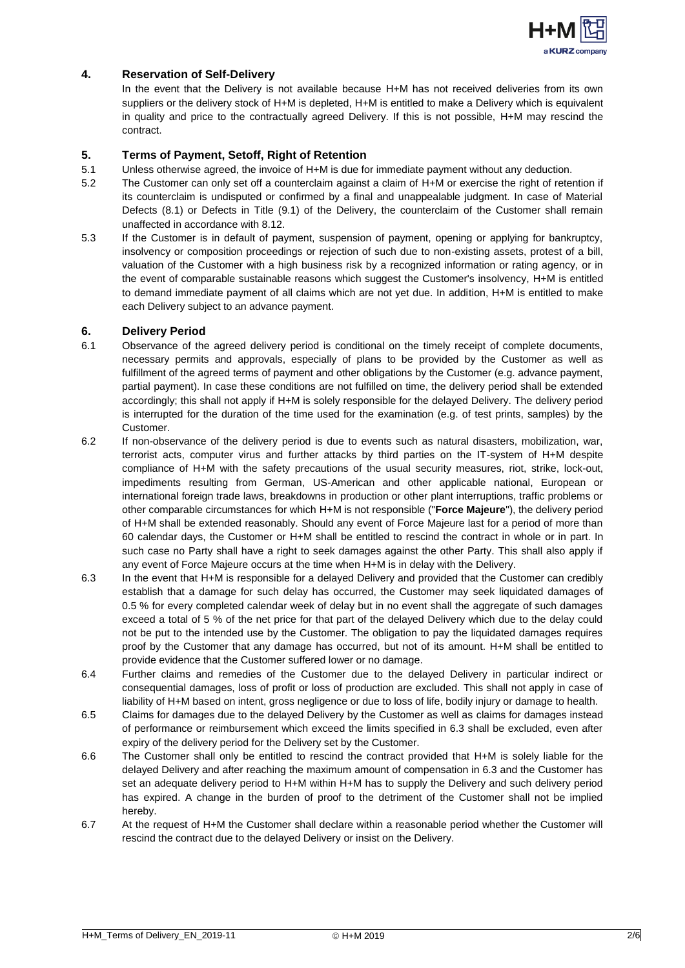

# <span id="page-1-0"></span>**4. Reservation of Self-Delivery**

In the event that the Delivery is not available because H+M has not received deliveries from its own suppliers or the delivery stock of H+M is depleted, H+M is entitled to make a Delivery which is equivalent in quality and price to the contractually agreed Delivery. If this is not possible, H+M may rescind the contract.

### <span id="page-1-1"></span>**5. Terms of Payment, Setoff, Right of Retention**

- 5.1 Unless otherwise agreed, the invoice of H+M is due for immediate payment without any deduction.
- 5.2 The Customer can only set off a counterclaim against a claim of H+M or exercise the right of retention if its counterclaim is undisputed or confirmed by a final and unappealable judgment. In case of Material Defects (8.1) or Defects in Title (9.1) of the Delivery, the counterclaim of the Customer shall remain unaffected in accordance with 8.12.
- 5.3 If the Customer is in default of payment, suspension of payment, opening or applying for bankruptcy, insolvency or composition proceedings or rejection of such due to non-existing assets, protest of a bill, valuation of the Customer with a high business risk by a recognized information or rating agency, or in the event of comparable sustainable reasons which suggest the Customer's insolvency, H+M is entitled to demand immediate payment of all claims which are not yet due. In addition, H+M is entitled to make each Delivery subject to an advance payment.

#### <span id="page-1-2"></span>**6. Delivery Period**

- 6.1 Observance of the agreed delivery period is conditional on the timely receipt of complete documents, necessary permits and approvals, especially of plans to be provided by the Customer as well as fulfillment of the agreed terms of payment and other obligations by the Customer (e.g. advance payment, partial payment). In case these conditions are not fulfilled on time, the delivery period shall be extended accordingly; this shall not apply if H+M is solely responsible for the delayed Delivery. The delivery period is interrupted for the duration of the time used for the examination (e.g. of test prints, samples) by the Customer.
- 6.2 If non-observance of the delivery period is due to events such as natural disasters, mobilization, war, terrorist acts, computer virus and further attacks by third parties on the IT-system of H+M despite compliance of H+M with the safety precautions of the usual security measures, riot, strike, lock-out, impediments resulting from German, US-American and other applicable national, European or international foreign trade laws, breakdowns in production or other plant interruptions, traffic problems or other comparable circumstances for which H+M is not responsible ("**Force Majeure**"), the delivery period of H+M shall be extended reasonably. Should any event of Force Majeure last for a period of more than 60 calendar days, the Customer or H+M shall be entitled to rescind the contract in whole or in part. In such case no Party shall have a right to seek damages against the other Party. This shall also apply if any event of Force Majeure occurs at the time when H+M is in delay with the Delivery.
- 6.3 In the event that H+M is responsible for a delayed Delivery and provided that the Customer can credibly establish that a damage for such delay has occurred, the Customer may seek liquidated damages of 0.5 % for every completed calendar week of delay but in no event shall the aggregate of such damages exceed a total of 5 % of the net price for that part of the delayed Delivery which due to the delay could not be put to the intended use by the Customer. The obligation to pay the liquidated damages requires proof by the Customer that any damage has occurred, but not of its amount. H+M shall be entitled to provide evidence that the Customer suffered lower or no damage.
- 6.4 Further claims and remedies of the Customer due to the delayed Delivery in particular indirect or consequential damages, loss of profit or loss of production are excluded. This shall not apply in case of liability of H+M based on intent, gross negligence or due to loss of life, bodily injury or damage to health.
- 6.5 Claims for damages due to the delayed Delivery by the Customer as well as claims for damages instead of performance or reimbursement which exceed the limits specified in 6.3 shall be excluded, even after expiry of the delivery period for the Delivery set by the Customer.
- 6.6 The Customer shall only be entitled to rescind the contract provided that H+M is solely liable for the delayed Delivery and after reaching the maximum amount of compensation in 6.3 and the Customer has set an adequate delivery period to H+M within H+M has to supply the Delivery and such delivery period has expired. A change in the burden of proof to the detriment of the Customer shall not be implied hereby.
- 6.7 At the request of H+M the Customer shall declare within a reasonable period whether the Customer will rescind the contract due to the delayed Delivery or insist on the Delivery.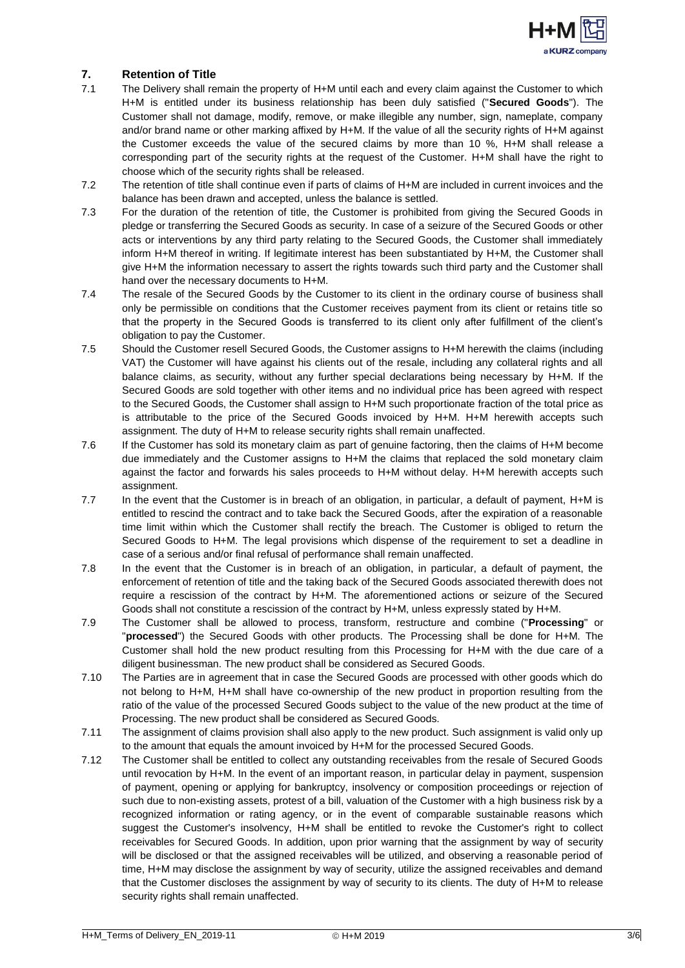

## <span id="page-2-0"></span>**7. Retention of Title**

- 7.1 The Delivery shall remain the property of H+M until each and every claim against the Customer to which H+M is entitled under its business relationship has been duly satisfied ("**Secured Goods**"). The Customer shall not damage, modify, remove, or make illegible any number, sign, nameplate, company and/or brand name or other marking affixed by H+M. If the value of all the security rights of H+M against the Customer exceeds the value of the secured claims by more than 10 %, H+M shall release a corresponding part of the security rights at the request of the Customer. H+M shall have the right to choose which of the security rights shall be released.
- 7.2 The retention of title shall continue even if parts of claims of H+M are included in current invoices and the balance has been drawn and accepted, unless the balance is settled.
- 7.3 For the duration of the retention of title, the Customer is prohibited from giving the Secured Goods in pledge or transferring the Secured Goods as security. In case of a seizure of the Secured Goods or other acts or interventions by any third party relating to the Secured Goods, the Customer shall immediately inform H+M thereof in writing. If legitimate interest has been substantiated by H+M, the Customer shall give H+M the information necessary to assert the rights towards such third party and the Customer shall hand over the necessary documents to H+M.
- 7.4 The resale of the Secured Goods by the Customer to its client in the ordinary course of business shall only be permissible on conditions that the Customer receives payment from its client or retains title so that the property in the Secured Goods is transferred to its client only after fulfillment of the client's obligation to pay the Customer.
- 7.5 Should the Customer resell Secured Goods, the Customer assigns to H+M herewith the claims (including VAT) the Customer will have against his clients out of the resale, including any collateral rights and all balance claims, as security, without any further special declarations being necessary by H+M. If the Secured Goods are sold together with other items and no individual price has been agreed with respect to the Secured Goods, the Customer shall assign to H+M such proportionate fraction of the total price as is attributable to the price of the Secured Goods invoiced by H+M. H+M herewith accepts such assignment. The duty of H+M to release security rights shall remain unaffected.
- 7.6 If the Customer has sold its monetary claim as part of genuine factoring, then the claims of H+M become due immediately and the Customer assigns to H+M the claims that replaced the sold monetary claim against the factor and forwards his sales proceeds to H+M without delay. H+M herewith accepts such assignment.
- 7.7 In the event that the Customer is in breach of an obligation, in particular, a default of payment, H+M is entitled to rescind the contract and to take back the Secured Goods, after the expiration of a reasonable time limit within which the Customer shall rectify the breach. The Customer is obliged to return the Secured Goods to H+M. The legal provisions which dispense of the requirement to set a deadline in case of a serious and/or final refusal of performance shall remain unaffected.
- 7.8 In the event that the Customer is in breach of an obligation, in particular, a default of payment, the enforcement of retention of title and the taking back of the Secured Goods associated therewith does not require a rescission of the contract by H+M. The aforementioned actions or seizure of the Secured Goods shall not constitute a rescission of the contract by H+M, unless expressly stated by H+M.
- 7.9 The Customer shall be allowed to process, transform, restructure and combine ("**Processing**" or "**processed**") the Secured Goods with other products. The Processing shall be done for H+M. The Customer shall hold the new product resulting from this Processing for H+M with the due care of a diligent businessman. The new product shall be considered as Secured Goods.
- 7.10 The Parties are in agreement that in case the Secured Goods are processed with other goods which do not belong to H+M, H+M shall have co-ownership of the new product in proportion resulting from the ratio of the value of the processed Secured Goods subject to the value of the new product at the time of Processing. The new product shall be considered as Secured Goods.
- 7.11 The assignment of claims provision shall also apply to the new product. Such assignment is valid only up to the amount that equals the amount invoiced by H+M for the processed Secured Goods.
- 7.12 The Customer shall be entitled to collect any outstanding receivables from the resale of Secured Goods until revocation by H+M. In the event of an important reason, in particular delay in payment, suspension of payment, opening or applying for bankruptcy, insolvency or composition proceedings or rejection of such due to non-existing assets, protest of a bill, valuation of the Customer with a high business risk by a recognized information or rating agency, or in the event of comparable sustainable reasons which suggest the Customer's insolvency, H+M shall be entitled to revoke the Customer's right to collect receivables for Secured Goods. In addition, upon prior warning that the assignment by way of security will be disclosed or that the assigned receivables will be utilized, and observing a reasonable period of time, H+M may disclose the assignment by way of security, utilize the assigned receivables and demand that the Customer discloses the assignment by way of security to its clients. The duty of H+M to release security rights shall remain unaffected.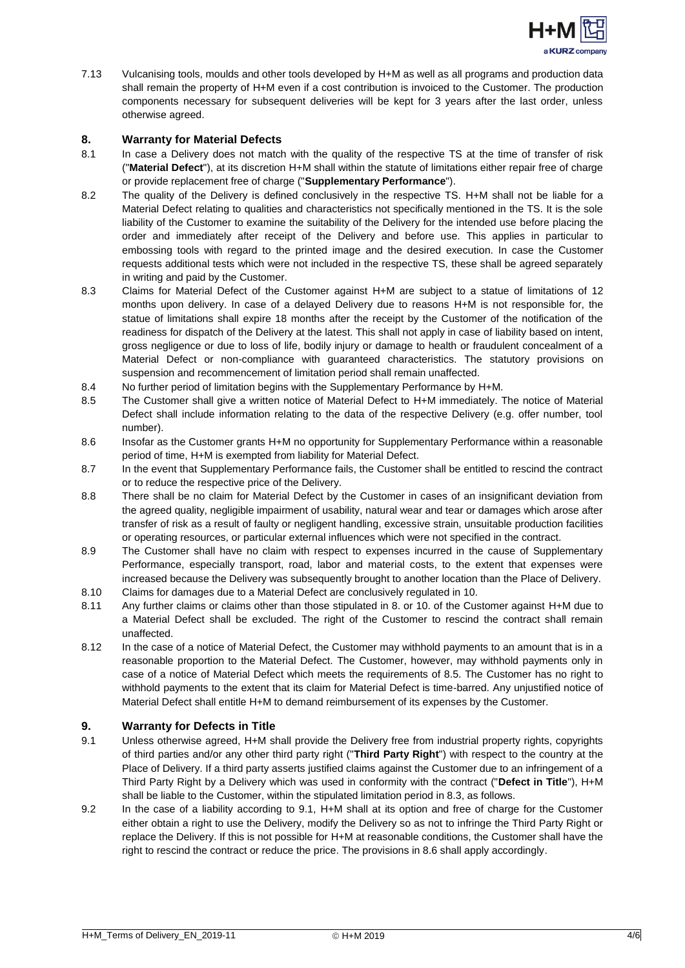

7.13 Vulcanising tools, moulds and other tools developed by H+M as well as all programs and production data shall remain the property of H+M even if a cost contribution is invoiced to the Customer. The production components necessary for subsequent deliveries will be kept for 3 years after the last order, unless otherwise agreed.

### <span id="page-3-0"></span>**8. Warranty for Material Defects**

- 8.1 In case a Delivery does not match with the quality of the respective TS at the time of transfer of risk ("**Material Defect**"), at its discretion H+M shall within the statute of limitations either repair free of charge or provide replacement free of charge ("**Supplementary Performance**").
- 8.2 The quality of the Delivery is defined conclusively in the respective TS. H+M shall not be liable for a Material Defect relating to qualities and characteristics not specifically mentioned in the TS. It is the sole liability of the Customer to examine the suitability of the Delivery for the intended use before placing the order and immediately after receipt of the Delivery and before use. This applies in particular to embossing tools with regard to the printed image and the desired execution. In case the Customer requests additional tests which were not included in the respective TS, these shall be agreed separately in writing and paid by the Customer.
- 8.3 Claims for Material Defect of the Customer against H+M are subject to a statue of limitations of 12 months upon delivery. In case of a delayed Delivery due to reasons H+M is not responsible for, the statue of limitations shall expire 18 months after the receipt by the Customer of the notification of the readiness for dispatch of the Delivery at the latest. This shall not apply in case of liability based on intent, gross negligence or due to loss of life, bodily injury or damage to health or fraudulent concealment of a Material Defect or non-compliance with guaranteed characteristics. The statutory provisions on suspension and recommencement of limitation period shall remain unaffected.
- 8.4 No further period of limitation begins with the Supplementary Performance by H+M.
- 8.5 The Customer shall give a written notice of Material Defect to H+M immediately. The notice of Material Defect shall include information relating to the data of the respective Delivery (e.g. offer number, tool number).
- 8.6 Insofar as the Customer grants H+M no opportunity for Supplementary Performance within a reasonable period of time, H+M is exempted from liability for Material Defect.
- 8.7 In the event that Supplementary Performance fails, the Customer shall be entitled to rescind the contract or to reduce the respective price of the Delivery.
- 8.8 There shall be no claim for Material Defect by the Customer in cases of an insignificant deviation from the agreed quality, negligible impairment of usability, natural wear and tear or damages which arose after transfer of risk as a result of faulty or negligent handling, excessive strain, unsuitable production facilities or operating resources, or particular external influences which were not specified in the contract.
- 8.9 The Customer shall have no claim with respect to expenses incurred in the cause of Supplementary Performance, especially transport, road, labor and material costs, to the extent that expenses were increased because the Delivery was subsequently brought to another location than the Place of Delivery.
- 8.10 Claims for damages due to a Material Defect are conclusively regulated in 10.
- 8.11 Any further claims or claims other than those stipulated in 8. or 10. of the Customer against H+M due to a Material Defect shall be excluded. The right of the Customer to rescind the contract shall remain unaffected.
- 8.12 In the case of a notice of Material Defect, the Customer may withhold payments to an amount that is in a reasonable proportion to the Material Defect. The Customer, however, may withhold payments only in case of a notice of Material Defect which meets the requirements of 8.5. The Customer has no right to withhold payments to the extent that its claim for Material Defect is time-barred. Any unjustified notice of Material Defect shall entitle H+M to demand reimbursement of its expenses by the Customer.

## <span id="page-3-1"></span>**9. Warranty for Defects in Title**

- 9.1 Unless otherwise agreed, H+M shall provide the Delivery free from industrial property rights, copyrights of third parties and/or any other third party right ("**Third Party Right**") with respect to the country at the Place of Delivery. If a third party asserts justified claims against the Customer due to an infringement of a Third Party Right by a Delivery which was used in conformity with the contract ("**Defect in Title**"), H+M shall be liable to the Customer, within the stipulated limitation period in 8.3, as follows.
- 9.2 In the case of a liability according to 9.1, H+M shall at its option and free of charge for the Customer either obtain a right to use the Delivery, modify the Delivery so as not to infringe the Third Party Right or replace the Delivery. If this is not possible for H+M at reasonable conditions, the Customer shall have the right to rescind the contract or reduce the price. The provisions in 8.6 shall apply accordingly.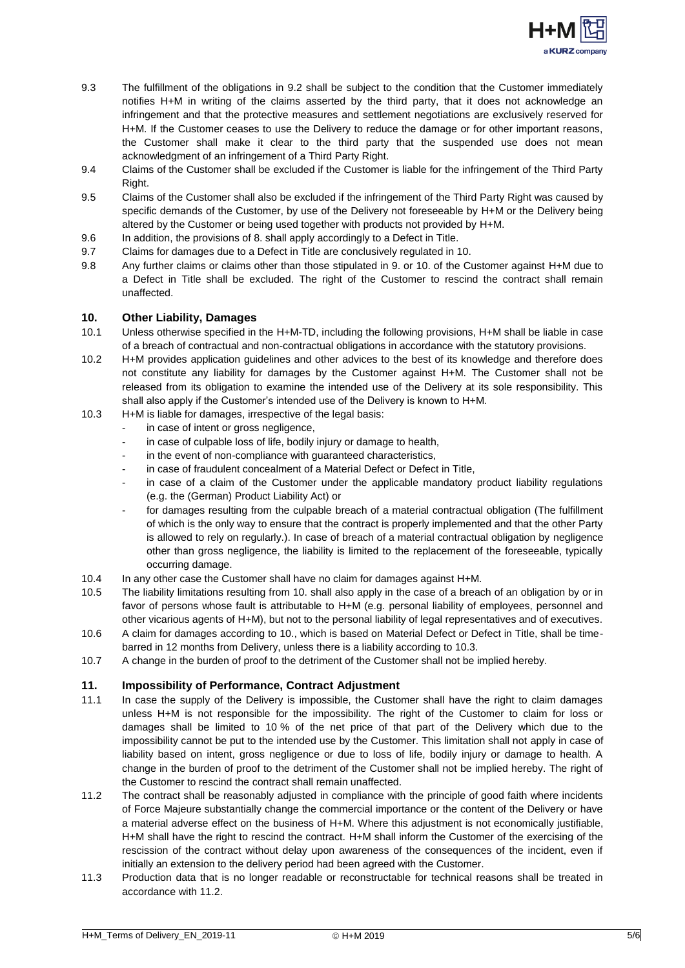

- 9.3 The fulfillment of the obligations in 9.2 shall be subject to the condition that the Customer immediately notifies H+M in writing of the claims asserted by the third party, that it does not acknowledge an infringement and that the protective measures and settlement negotiations are exclusively reserved for H+M. If the Customer ceases to use the Delivery to reduce the damage or for other important reasons, the Customer shall make it clear to the third party that the suspended use does not mean acknowledgment of an infringement of a Third Party Right.
- 9.4 Claims of the Customer shall be excluded if the Customer is liable for the infringement of the Third Party Right.
- 9.5 Claims of the Customer shall also be excluded if the infringement of the Third Party Right was caused by specific demands of the Customer, by use of the Delivery not foreseeable by H+M or the Delivery being altered by the Customer or being used together with products not provided by H+M.
- 9.6 In addition, the provisions of 8. shall apply accordingly to a Defect in Title.
- 9.7 Claims for damages due to a Defect in Title are conclusively regulated in 10.
- 9.8 Any further claims or claims other than those stipulated in 9. or 10. of the Customer against H+M due to a Defect in Title shall be excluded. The right of the Customer to rescind the contract shall remain unaffected.

#### <span id="page-4-0"></span>**10. Other Liability, Damages**

- 10.1 Unless otherwise specified in the H+M-TD, including the following provisions, H+M shall be liable in case of a breach of contractual and non-contractual obligations in accordance with the statutory provisions.
- 10.2 H+M provides application guidelines and other advices to the best of its knowledge and therefore does not constitute any liability for damages by the Customer against H+M. The Customer shall not be released from its obligation to examine the intended use of the Delivery at its sole responsibility. This shall also apply if the Customer's intended use of the Delivery is known to H+M.
- 10.3 H+M is liable for damages, irrespective of the legal basis:
	- in case of intent or gross negligence,
	- in case of culpable loss of life, bodily injury or damage to health,
	- in the event of non-compliance with quaranteed characteristics,
	- in case of fraudulent concealment of a Material Defect or Defect in Title,
	- in case of a claim of the Customer under the applicable mandatory product liability regulations (e.g. the (German) Product Liability Act) or
	- for damages resulting from the culpable breach of a material contractual obligation (The fulfillment of which is the only way to ensure that the contract is properly implemented and that the other Party is allowed to rely on regularly.). In case of breach of a material contractual obligation by negligence other than gross negligence, the liability is limited to the replacement of the foreseeable, typically occurring damage.
- 10.4 In any other case the Customer shall have no claim for damages against H+M.
- 10.5 The liability limitations resulting from 10. shall also apply in the case of a breach of an obligation by or in favor of persons whose fault is attributable to H+M (e.g. personal liability of employees, personnel and other vicarious agents of H+M), but not to the personal liability of legal representatives and of executives.
- 10.6 A claim for damages according to 10., which is based on Material Defect or Defect in Title, shall be timebarred in 12 months from Delivery, unless there is a liability according to 10.3.
- 10.7 A change in the burden of proof to the detriment of the Customer shall not be implied hereby.

# <span id="page-4-1"></span>**11. Impossibility of Performance, Contract Adjustment**

- 11.1 In case the supply of the Delivery is impossible, the Customer shall have the right to claim damages unless H+M is not responsible for the impossibility. The right of the Customer to claim for loss or damages shall be limited to 10 % of the net price of that part of the Delivery which due to the impossibility cannot be put to the intended use by the Customer. This limitation shall not apply in case of liability based on intent, gross negligence or due to loss of life, bodily injury or damage to health. A change in the burden of proof to the detriment of the Customer shall not be implied hereby. The right of the Customer to rescind the contract shall remain unaffected.
- 11.2 The contract shall be reasonably adjusted in compliance with the principle of good faith where incidents of Force Majeure substantially change the commercial importance or the content of the Delivery or have a material adverse effect on the business of H+M. Where this adjustment is not economically justifiable, H+M shall have the right to rescind the contract. H+M shall inform the Customer of the exercising of the rescission of the contract without delay upon awareness of the consequences of the incident, even if initially an extension to the delivery period had been agreed with the Customer.
- 11.3 Production data that is no longer readable or reconstructable for technical reasons shall be treated in accordance with 11.2.